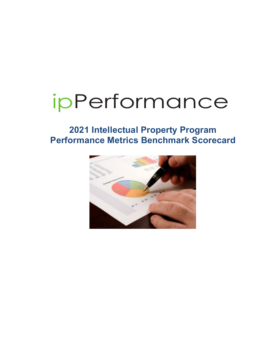# ipPerformance

# **2021 Intellectual Property Program Performance Metrics Benchmark Scorecard**

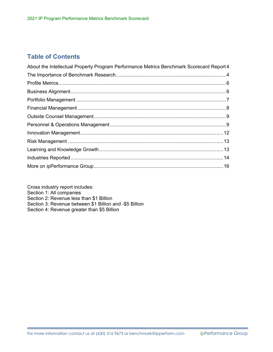# **Table of Contents**

| About the Intellectual Property Program Performance Metrics Benchmark Scorecard Report 4 |  |
|------------------------------------------------------------------------------------------|--|
|                                                                                          |  |
|                                                                                          |  |
|                                                                                          |  |
|                                                                                          |  |
|                                                                                          |  |
|                                                                                          |  |
|                                                                                          |  |
|                                                                                          |  |
|                                                                                          |  |
|                                                                                          |  |
|                                                                                          |  |
|                                                                                          |  |

Cross industry report includes: Section 1: All companies Section 2: Revenue less than \$1 Billion Section 3: Revenue between \$1 Billion and -\$5 Billion Section 4: Revenue greater than \$5 Billion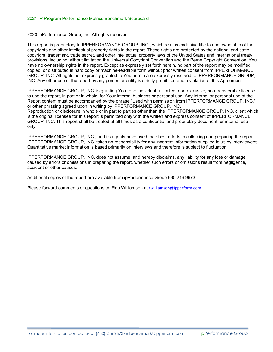2020 ipPerformance Group, Inc. All rights reserved.

This report is proprietary to IPPERFORMANCE GROUP, INC., which retains exclusive title to and ownership of the copyrights and other intellectual property rights in the report. These rights are protected by the national and state copyright, trademark, trade secret, and other intellectual property laws of the United States and international treaty provisions, including without limitation the Universal Copyright Convention and the Berne Copyright Convention. You have no ownership rights in the report. Except as expressly set forth herein, no part of the report may be modified, copied, or distributed in hard copy or machine-readable form without prior written consent from IPPERFORMANCE GROUP, INC. All rights not expressly granted to You herein are expressly reserved to IPPERFORMANCE GROUP, INC. Any other use of the report by any person or entity is strictly prohibited and a violation of this Agreement.

IPPERFORMANCE GROUP, INC. is granting You (one individual) a limited, non-exclusive, non-transferable license to use the report, in part or in whole, for Your internal business or personal use. Any internal or personal use of the Report content must be accompanied by the phrase "Used with permission from IPPERFORMANCE GROUP, INC." or other phrasing agreed upon in writing by IPPERFORMANCE GROUP, INC.

Reproduction or disclosure in whole or in part to parties other than the IPPERFORMANCE GROUP, INC. client which is the original licensee for this report is permitted only with the written and express consent of IPPERFORMANCE GROUP, INC. This report shall be treated at all times as a confidential and proprietary document for internal use only.

IPPERFORMANCE GROUP, INC., and its agents have used their best efforts in collecting and preparing the report. IPPERFORMANCE GROUP, INC. takes no responsibility for any incorrect information supplied to us by interviewees. Quantitative market information is based primarily on interviews and therefore is subject to fluctuation.

IPPERFORMANCE GROUP, INC. does not assume, and hereby disclaims, any liability for any loss or damage caused by errors or omissions in preparing the report, whether such errors or omissions result from negligence, accident or other causes.

Additional copies of the report are available from ipPerformance Group 630 216 9673.

Please forward comments or questions to: Rob Williamson at rwilliamson@ipperform.com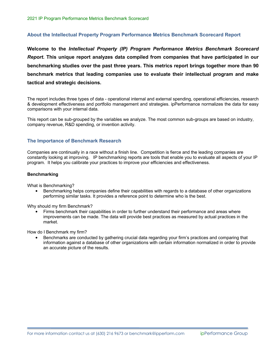#### **About the Intellectual Property Program Performance Metrics Benchmark Scorecard Report**

**Welcome to the** *Intellectual Property (IP) Program Performance Metrics Benchmark Scorecard Report***. This unique report analyzes data compiled from companies that have participated in our benchmarking studies over the past three years. This metrics report brings together more than 90 benchmark metrics that leading companies use to evaluate their intellectual program and make tactical and strategic decisions.**

The report includes three types of data - operational internal and external spending, operational efficiencies, research & development effectiveness and portfolio management and strategies. ipPerformance normalizes the data for easy comparisons with your internal data.

This report can be sub-grouped by the variables we analyze. The most common sub-groups are based on industry, company revenue, R&D spending, or invention activity.

#### **The Importance of Benchmark Research**

Companies are continually in a race without a finish line. Competition is fierce and the leading companies are constantly looking at improving. IP benchmarking reports are tools that enable you to evaluate all aspects of your IP program. It helps you calibrate your practices to improve your efficiencies and effectiveness.

#### **Benchmarking**

What is Benchmarking?

• Benchmarking helps companies define their capabilities with regards to a database of other organizations performing similar tasks. It provides a reference point to determine who is the best.

Why should my firm Benchmark?

• Firms benchmark their capabilities in order to further understand their performance and areas where improvements can be made. The data will provide best practices as measured by actual practices in the market.

How do I Benchmark my firm?

• Benchmarks are conducted by gathering crucial data regarding your firm's practices and comparing that information against a database of other organizations with certain information normalized in order to provide an accurate picture of the results.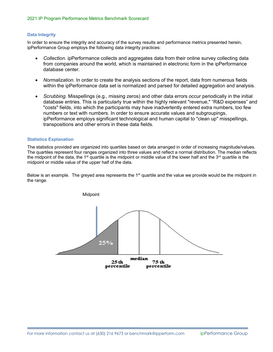#### **Data Integrity**

In order to ensure the integrity and accuracy of the survey results and performance metrics presented herein, ipPerformance Group employs the following data integrity practices:

- Collection. ipPerformance collects and aggregates data from their online survey collecting data from companies around the world, which is maintained in electronic form in the ipPerformance database center.
- *Normalization.* In order to create the analysis sections of the report, data from numerous fields within the ipPerformance data set is normalized and parsed for detailed aggregation and analysis.
- *Scrubbing.* Misspellings (e.g., missing zeros) and other data errors occur periodically in the initial database entries. This is particularly true within the highly relevant "revenue," "R&D expenses" and "costs" fields, into which the participants may have inadvertently entered extra numbers, too few numbers or text with numbers. In order to ensure accurate values and subgroupings, ipPerformance employs significant technological and human capital to "clean up" misspellings, transpositions and other errors in these data fields.

#### **Statistics Explanation**

The statistics provided are organized into quartiles based on data arranged in order of increasing magnitude/values. The quartiles represent four ranges organized into three values and reflect a normal distribution. The median reflects the midpoint of the data, the 1<sup>st</sup> quartile is the midpoint or middle value of the lower half and the  $3<sup>rd</sup>$  quartile is the midpoint or middle value of the upper half of the data.

Below is an example. The greyed area represents the 1<sup>st</sup> quartile and the value we provide would be the midpoint in the range.

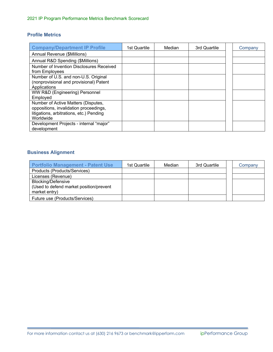### **Profile Metrics**

| <b>Company/Department IP Profile</b>                                                                                                   | 1st Quartile | Median | 3rd Quartile | Company |
|----------------------------------------------------------------------------------------------------------------------------------------|--------------|--------|--------------|---------|
| Annual Revenue (\$Millions)                                                                                                            |              |        |              |         |
| Annual R&D Spending (\$Millions)                                                                                                       |              |        |              |         |
| Number of Invention Disclosures Received<br>from Employees                                                                             |              |        |              |         |
| Number of U.S. and non-U.S. Original<br>(nonprovisional and provisional) Patent<br>Applications                                        |              |        |              |         |
| WW R&D (Engineering) Personnel<br>Employed                                                                                             |              |        |              |         |
| Number of Active Matters (Disputes,<br>oppositions, invalidation proceedings,<br>litigations, arbitrations, etc.) Pending<br>Worldwide |              |        |              |         |
| Development Projects - internal "major"<br>development                                                                                 |              |        |              |         |

# **Business Alignment**

| <b>Portfolio Management - Patent Use</b>                                              | 1st Quartile | Median | 3rd Quartile | Company |
|---------------------------------------------------------------------------------------|--------------|--------|--------------|---------|
| Products (Products/Services)                                                          |              |        |              |         |
| Licenses (Revenue)                                                                    |              |        |              |         |
| <b>Blocking/Defensive</b><br>(Used to defend market position/prevent<br>market entry) |              |        |              |         |
| Future use (Products/Services)                                                        |              |        |              |         |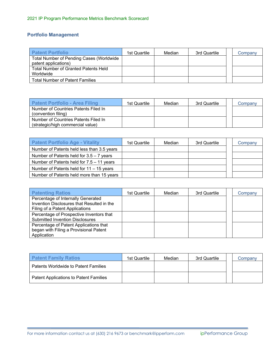# **Portfolio Management**

| <b>Patent Portfolio</b>                         | 1st Quartile | Median | 3rd Quartile | Company |
|-------------------------------------------------|--------------|--------|--------------|---------|
| <b>Total Number of Pending Cases (Worldwide</b> |              |        |              |         |
| patent applications)                            |              |        |              |         |
| <b>Total Number of Granted Patents Held</b>     |              |        |              |         |
| Worldwide                                       |              |        |              |         |
| <b>Total Number of Patent Families</b>          |              |        |              |         |

| Patent Portfolio - Area Filing                                            | 1st Quartile | Median | 3rd Quartile | Company |
|---------------------------------------------------------------------------|--------------|--------|--------------|---------|
| Number of Countries Patents Filed In<br>(convention filing)               |              |        |              |         |
| Number of Countries Patents Filed In<br>(strategic/high commercial value) |              |        |              |         |

| <b>Patent Portfolio Age - Vitality</b>      | 1st Quartile | Median | 3rd Quartile | Company |
|---------------------------------------------|--------------|--------|--------------|---------|
| Number of Patents held less than 3.5 years  |              |        |              |         |
| Number of Patents held for $3.5 - 7$ years  |              |        |              |         |
| Number of Patents held for $7.5 - 11$ years |              |        |              |         |
| Number of Patents held for $11 - 15$ years  |              |        |              |         |
| Number of Patents held more than 15 years   |              |        |              |         |

| <b>Patenting Ratios</b>                                                                                             | 1st Quartile | Median | 3rd Quartile | Company |
|---------------------------------------------------------------------------------------------------------------------|--------------|--------|--------------|---------|
| Percentage of Internally Generated<br>Invention Disclosures that Resulted in the<br>Filing of a Patent Applications |              |        |              |         |
| Percentage of Prospective Inventors that<br><b>Submitted Invention Disclosures</b>                                  |              |        |              |         |
| Percentage of Patent Applications that<br>began with Filing a Provisional Patent<br>Application                     |              |        |              |         |

| <b>Patent Family Ratios</b>            | 1st Quartile | Median | 3rd Quartile | Company |
|----------------------------------------|--------------|--------|--------------|---------|
| Patents Worldwide to Patent Families   |              |        |              |         |
| Patent Applications to Patent Families |              |        |              |         |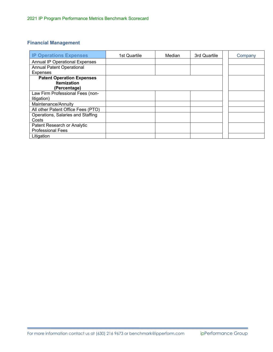# **Financial Management**

| <b>IP Operations Expenses</b>         | 1st Quartile | Median | 3rd Quartile | Company |
|---------------------------------------|--------------|--------|--------------|---------|
| <b>Annual IP Operational Expenses</b> |              |        |              |         |
| <b>Annual Patent Operational</b>      |              |        |              |         |
| <b>Expenses</b>                       |              |        |              |         |
| <b>Patent Operation Expenses</b>      |              |        |              |         |
| <b>Itemization</b>                    |              |        |              |         |
| (Percentage)                          |              |        |              |         |
| Law Firm Professional Fees (non-      |              |        |              |         |
| litigation)                           |              |        |              |         |
| Maintenance/Annuity                   |              |        |              |         |
| All other Patent Office Fees (PTO)    |              |        |              |         |
| Operations, Salaries and Staffing     |              |        |              |         |
| Costs                                 |              |        |              |         |
| Patent Research or Analytic           |              |        |              |         |
| <b>Professional Fees</b>              |              |        |              |         |
| Litigation                            |              |        |              |         |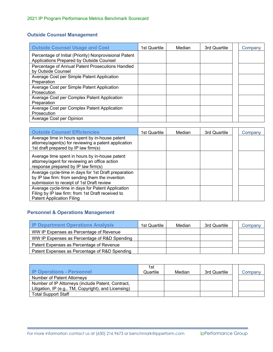# **Outside Counsel Management**

| <b>Outside Counsel Usage and Cost</b>                                                              | 1st Quartile | Median | 3rd Quartile | Company |
|----------------------------------------------------------------------------------------------------|--------------|--------|--------------|---------|
| Percentage of Initial (Priority) Nonprovisional Patent<br>Applications Prepared by Outside Counsel |              |        |              |         |
| Percentage of Annual Patent Prosecutions Handled<br>by Outside Counsel                             |              |        |              |         |
| Average Cost per Simple Patent Application<br>Preparation                                          |              |        |              |         |
| Average Cost per Simple Patent Application<br>Prosecution                                          |              |        |              |         |
| Average Cost per Complex Patent Application<br>Preparation                                         |              |        |              |         |
| Average Cost per Complex Patent Application<br>Prosecution                                         |              |        |              |         |
| Average Cost per Opinion                                                                           |              |        |              |         |

| <b>Outside Counsel Efficiencies</b>                                                                                                                  | 1st Quartile | Median | 3rd Quartile | Company |
|------------------------------------------------------------------------------------------------------------------------------------------------------|--------------|--------|--------------|---------|
| Average time in hours spent by in-house patent<br>attorney/agent(s) for reviewing a patent application<br>1st draft prepared by IP law firm(s)       |              |        |              |         |
| Average time spent in hours by in-house patent<br>attorney/agent for reviewing an office action<br>response prepared by IP law firm(s)               |              |        |              |         |
| Average cycle-time in days for 1st Draft preparation<br>by IP law firm: from sending them the invention<br>submission to receipt of 1st Draft review |              |        |              |         |
| Average cycle-time in days for Patent Application<br>Filing by IP law firm: from 1st Draft received to<br><b>Patent Application Filing</b>           |              |        |              |         |

# **Personnel & Operations Management**

| <b>IP Department Operations Analysis</b>      | 1st Quartile | Median | 3rd Quartile | Company |
|-----------------------------------------------|--------------|--------|--------------|---------|
| WW IP Expenses as Percentage of Revenue       |              |        |              |         |
| WW IP Expenses as Percentage of R&D Spending  |              |        |              |         |
| Patent Expenses as Percentage of Revenue      |              |        |              |         |
| Patent Expenses as Percentage of R&D Spending |              |        |              |         |

| <b>IP Operations - Personnel</b>                     | 1st<br>Quartile | Median | 3rd Quartile | Company |
|------------------------------------------------------|-----------------|--------|--------------|---------|
| Number of Patent Attorneys                           |                 |        |              |         |
| Number of IP Attorneys (include Patent, Contract,    |                 |        |              |         |
| Litigation, IP (e.g., TM, Copyright), and Licensing) |                 |        |              |         |
| <b>Total Support Staff</b>                           |                 |        |              |         |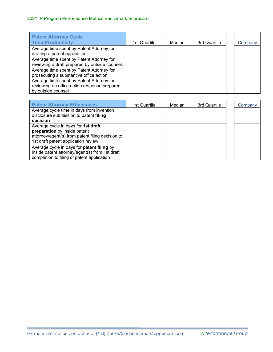## 2021 IP Program Performance Metrics Benchmark Scorecard

| <b>Patent Attorney Cycle</b><br><b>Time/Productivity</b>                                                        | 1st Quartile | Median | 3rd Quartile | Company |
|-----------------------------------------------------------------------------------------------------------------|--------------|--------|--------------|---------|
| Average time spent by Patent Attorney for<br>drafting a patent application                                      |              |        |              |         |
| Average time spent by Patent Attorney for<br>reviewing a draft prepared by outside counsel.                     |              |        |              |         |
| Average time spent by Patent Attorney for<br>prosecuting a substantive office action                            |              |        |              |         |
| Average time spent by Patent Attorney for<br>reviewing an office action response prepared<br>by outside counsel |              |        |              |         |

| <b>Patent Attorney Efficiencies</b>               | 1st Quartile | Median | 3rd Quartile | Company |
|---------------------------------------------------|--------------|--------|--------------|---------|
| Average cycle time in days from invention         |              |        |              |         |
| disclosure submission to patent filing            |              |        |              |         |
| decision                                          |              |        |              |         |
| Average cycle in days for 1st draft               |              |        |              |         |
| preparation by inside patent                      |              |        |              |         |
| attorney/agent(s) from patent filing decision to  |              |        |              |         |
| 1st draft patent application review               |              |        |              |         |
| Average cycle in days for <b>patent filing</b> by |              |        |              |         |
| inside patent attorney/agent(s) from 1st draft    |              |        |              |         |
| completion to filing of patent application        |              |        |              |         |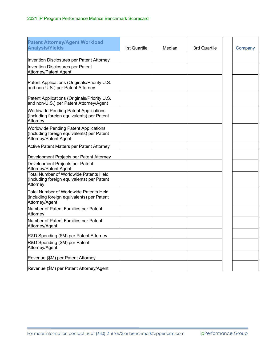| <b>Patent Attorney/Agent Workload</b><br><b>Analysis/Yields</b>                                                     | 1st Quartile | Median | 3rd Quartile | Company |
|---------------------------------------------------------------------------------------------------------------------|--------------|--------|--------------|---------|
| Invention Disclosures per Patent Attorney                                                                           |              |        |              |         |
| Invention Disclosures per Patent<br>Attorney/Patent Agent                                                           |              |        |              |         |
| Patent Applications (Originals/Priority U.S.<br>and non-U.S.) per Patent Attorney                                   |              |        |              |         |
| Patent Applications (Originals/Priority U.S.<br>and non-U.S.) per Patent Attorney/Agent                             |              |        |              |         |
| <b>Worldwide Pending Patent Applications</b><br>(Including foreign equivalents) per Patent<br>Attorney              |              |        |              |         |
| <b>Worldwide Pending Patent Applications</b><br>(Including foreign equivalents) per Patent<br>Attorney/Patent Agent |              |        |              |         |
| <b>Active Patent Matters per Patent Attorney</b>                                                                    |              |        |              |         |
| Development Projects per Patent Attorney                                                                            |              |        |              |         |
| Development Projects per Patent<br>Attorney/Patent Agent                                                            |              |        |              |         |
| <b>Total Number of Worldwide Patents Held</b><br>(Including foreign equivalents) per Patent<br>Attorney             |              |        |              |         |
| <b>Total Number of Worldwide Patents Held</b><br>(including foreign equivalents) per Patent<br>Attorney/Agent       |              |        |              |         |
| Number of Patent Families per Patent<br>Attorney                                                                    |              |        |              |         |
| Number of Patent Families per Patent<br>Attorney/Agent                                                              |              |        |              |         |
| R&D Spending (\$M) per Patent Attorney                                                                              |              |        |              |         |
| R&D Spending (\$M) per Patent<br>Attorney/Agent                                                                     |              |        |              |         |
| Revenue (\$M) per Patent Attorney                                                                                   |              |        |              |         |
| Revenue (\$M) per Patent Attorney/Agent                                                                             |              |        |              |         |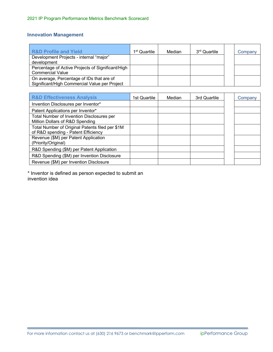# **Innovation Management**

| <b>R&amp;D Profile and Yield</b>                                                           | 1 <sup>st</sup> Quartile | Median | 3 <sup>rd</sup> Quartile | Company |
|--------------------------------------------------------------------------------------------|--------------------------|--------|--------------------------|---------|
| Development Projects - internal "major"<br>development                                     |                          |        |                          |         |
| Percentage of Active Projects of Significant/High<br><b>Commercial Value</b>               |                          |        |                          |         |
| On average, Percentage of IDs that are of<br>Significant/High Commercial Value per Project |                          |        |                          |         |

| <b>R&amp;D Effectiveness Analysis</b>                                                  | 1st Quartile | Median | 3rd Quartile | Company |
|----------------------------------------------------------------------------------------|--------------|--------|--------------|---------|
| Invention Disclosures per Inventor*                                                    |              |        |              |         |
| Patent Applications per Inventor*                                                      |              |        |              |         |
| Total Number of Invention Disclosures per<br>Million Dollars of R&D Spending           |              |        |              |         |
| Total Number of Original Patents filed per \$1M<br>of R&D spending - Patent Efficiency |              |        |              |         |
| Revenue (\$M) per Patent Application<br>(Priority/Original)                            |              |        |              |         |
| R&D Spending (\$M) per Patent Application                                              |              |        |              |         |
| R&D Spending (\$M) per Invention Disclosure                                            |              |        |              |         |
| Revenue (\$M) per Invention Disclosure                                                 |              |        |              |         |

\* Inventor is defined as person expected to submit an invention idea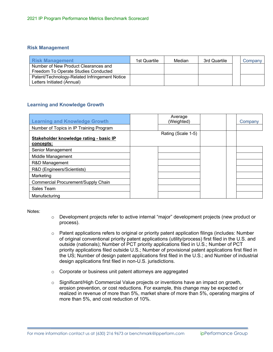#### **Risk Management**

| <b>I</b> Risk Management                                                     | 1st Quartile | Median | 3rd Quartile | Companv |
|------------------------------------------------------------------------------|--------------|--------|--------------|---------|
| Number of New Product Clearances and<br>Freedom To Operate Studies Conducted |              |        |              |         |
| Patent/Technology-Related Infringement Notice<br>Letters Initiated (Annual)  |              |        |              |         |

#### **Learning and Knowledge Growth**

| <b>Learning and Knowledge Growth</b>                 | Average<br>(Weighted) | Company |
|------------------------------------------------------|-----------------------|---------|
| Number of Topics in IP Training Program              |                       |         |
|                                                      | Rating (Scale 1-5)    |         |
| Stakeholder knowledge rating - basic IP<br>concepts: |                       |         |
| Senior Management                                    |                       |         |
| Middle Management                                    |                       |         |
| R&D Management                                       |                       |         |
| R&D (Engineers/Scientists)                           |                       |         |
| Marketing                                            |                       |         |
| Commercial Procurement/Supply Chain                  |                       |         |
| Sales Team                                           |                       |         |
| Manufacturing                                        |                       |         |

Notes:

- o Development projects refer to active internal "major" development projects (new product or process).
- $\circ$  Patent applications refers to original or priority patent application filings (includes: Number of original conventional priority patent applications (utility/process) first filed in the U.S. and outside (nationals); Number of PCT priority applications filed in U.S.; Number of PCT priority applications filed outside U.S.; Number of provisional patent applications first filed in the US; Number of design patent applications first filed in the U.S.; and Number of industrial design applications first filed in non-U.S. jurisdictions.
- o Corporate or business unit patent attorneys are aggregated
- $\circ$  Significant/High Commercial Value projects or inventions have an impact on growth, erosion prevention, or cost reductions. For example, this change may be expected or realized in revenue of more than 5%, market share of more than 5%, operating margins of more than 5%, and cost reduction of 10%.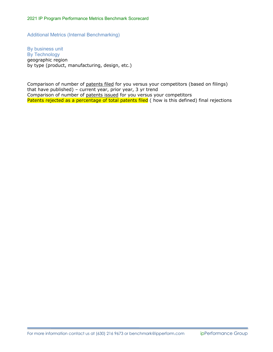Additional Metrics (Internal Benchmarking)

By business unit By Technology geographic region by type (product, manufacturing, design, etc.)

Comparison of number of patents filed for you versus your competitors (based on filings) that have published) – current year, prior year, 3 yr trend Comparison of number of patents issued for you versus your competitors Patents rejected as a percentage of total patents filed ( how is this defined) final rejections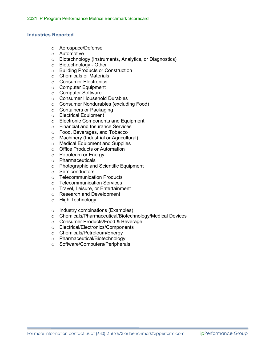#### **Industries Reported**

- o Aerospace/Defense
- o Automotive
- o Biotechnology (Instruments, Analytics, or Diagnostics)
- o Biotechnology Other
- o Building Products or Construction
- o Chemicals or Materials
- o Consumer Electronics
- o Computer Equipment
- o Computer Software
- o Consumer Household Durables
- o Consumer Nondurables (excluding Food)
- o Containers or Packaging
- o Electrical Equipment
- o Electronic Components and Equipment
- o Financial and Insurance Services
- o Food, Beverages, and Tobacco
- o Machinery (Industrial or Agricultural)
- o Medical Equipment and Supplies
- o Office Products or Automation
- o Petroleum or Energy
- o Pharmaceuticals
- o Photographic and Scientific Equipment
- o Semiconductors
- o Telecommunication Products
- o Telecommunication Services
- o Travel, Leisure, or Entertainment
- o Research and Development
- o High Technology
- o Industry combinations (Examples)
- o Chemicals/Pharmaceutical/Biotechnology/Medical Devices
- o Consumer Products/Food & Beverage
- o Electrical/Electronics/Components
- o Chemicals/Petroleum/Energy
- o Pharmaceutical/Biotechnology
- o Software/Computers/Peripherals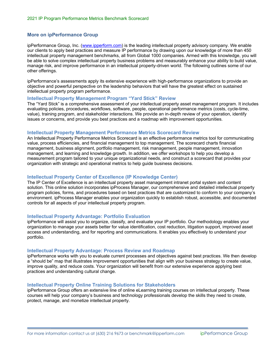#### **More on ipPerformance Group**

ipPerformance Group, Inc. (www.ipperform.com) is the leading intellectual property advisory company. We enable our clients to apply best practices and measure IP performance by drawing upon our knowledge of more than 450 intellectual property management benchmarks, all from Global 1000 companies. Armed with this knowledge, you will be able to solve complex intellectual property business problems and measurably enhance your ability to build value, manage risk, and improve performance in an intellectual property-driven world. The following outlines some of our other offerings.

ipPerformance's assessments apply its extensive experience with high-performance organizations to provide an objective and powerful perspective on the leadership behaviors that will have the greatest effect on sustained intellectual property program performance.

#### **Intellectual Property Management Program "Yard Stick" Review**

The "Yard Stick" is a comprehensive assessment of your intellectual property asset management program. It includes evaluating policies, procedures, workflows, software, people, operational performance metrics (costs, cycle-time, value), training program, and stakeholder interactions. We provide an in-depth review of your operation, identify issues or concerns, and provide you best practices and a roadmap with improvement opportunities.

#### **Intellectual Property Management Performance Metrics Scorecard Review**

An Intellectual Property Performance Metrics Scorecard is an effective performance metrics tool for communicating value, process efficiencies, and financial management to top management. The scorecard charts financial management, business alignment, portfolio management, risk management, people management, innovation management, and learning and knowledge growth. In addition, we offer workshops to help you develop a measurement program tailored to your unique organizational needs, and construct a scorecard that provides your organization with strategic and operational metrics to help guide business decisions.

#### **Intellectual Property Center of Excellence (IP Knowledge Center)**

The IP Center of Excellence is an intellectual property asset management intranet portal system and content solution. This online solution incorporates ipProcess Manager, our comprehensive and detailed intellectual property program policies, forms, and procedures based on best practices that are customized to conform to your company's environment. ipProcess Manager enables your organization quickly to establish robust, accessible, and documented controls for all aspects of your intellectual property program.

#### **Intellectual Property Advantage: Portfolio Evaluation**

ipPerformance will assist you to organize, classify, and evaluate your IP portfolio. Our methodology enables your organization to manage your assets better for value identification, cost reduction, litigation support, improved asset access and understanding, and for reporting and communications. It enables you effectively to understand your portfolio.

#### **Intellectual Property Advantage: Process Review and Roadmap**

ipPerformance works with you to evaluate current processes and objectives against best practices. We then develop a "should be" map that illustrates improvement opportunities that align with your business strategy to create value, improve quality, and reduce costs. Your organization will benefit from our extensive experience applying best practices and understanding cultural change.

#### **Intellectual Property Online Training Solutions for Stakeholders**

ipPerformance Group offers an extensive line of online eLearning training courses on intellectual property. These courses will help your company's business and technology professionals develop the skills they need to create, protect, manage, and monetize intellectual property.